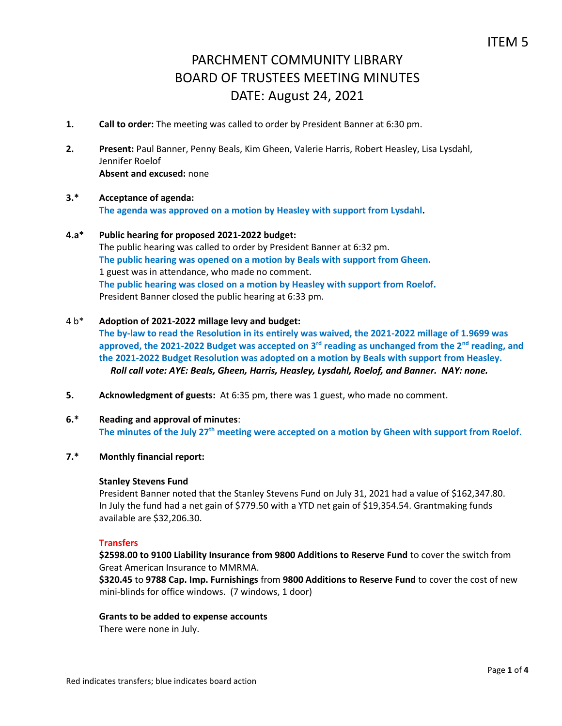- **1. Call to order:** The meeting was called to order by President Banner at 6:30 pm.
- **2. Present:** Paul Banner, Penny Beals, Kim Gheen, Valerie Harris, Robert Heasley, Lisa Lysdahl, Jennifer Roelof **Absent and excused:** none

## **3.\* Acceptance of agenda: The agenda was approved on a motion by Heasley with support from Lysdahl.**

# **4.a\* Public hearing for proposed 2021-2022 budget:**

The public hearing was called to order by President Banner at 6:32 pm. **The public hearing was opened on a motion by Beals with support from Gheen.** 1 guest was in attendance, who made no comment. **The public hearing was closed on a motion by Heasley with support from Roelof.** President Banner closed the public hearing at 6:33 pm.

## 4 b\* **Adoption of 2021-2022 millage levy and budget:**

**The by-law to read the Resolution in its entirely was waived, the 2021-2022 millage of 1.9699 was approved, the 2021-2022 Budget was accepted on 3rd reading as unchanged from the 2nd reading, and the 2021-2022 Budget Resolution was adopted on a motion by Beals with support from Heasley.** *Roll call vote: AYE: Beals, Gheen, Harris, Heasley, Lysdahl, Roelof, and Banner. NAY: none.*

- **5. Acknowledgment of guests:** At 6:35 pm, there was 1 guest, who made no comment.
- **6.\* Reading and approval of minutes**: **The minutes of the July 27th meeting were accepted on a motion by Gheen with support from Roelof.**
- **7.\* Monthly financial report:**

# **Stanley Stevens Fund**

President Banner noted that the Stanley Stevens Fund on July 31, 2021 had a value of \$162,347.80. In July the fund had a net gain of \$779.50 with a YTD net gain of \$19,354.54. Grantmaking funds available are \$32,206.30.

# **Transfers**

**\$2598.00 to 9100 Liability Insurance from 9800 Additions to Reserve Fund** to cover the switch from Great American Insurance to MMRMA.

**\$320.45** to **9788 Cap. Imp. Furnishings** from **9800 Additions to Reserve Fund** to cover the cost of new mini-blinds for office windows. (7 windows, 1 door)

## **Grants to be added to expense accounts**

There were none in July.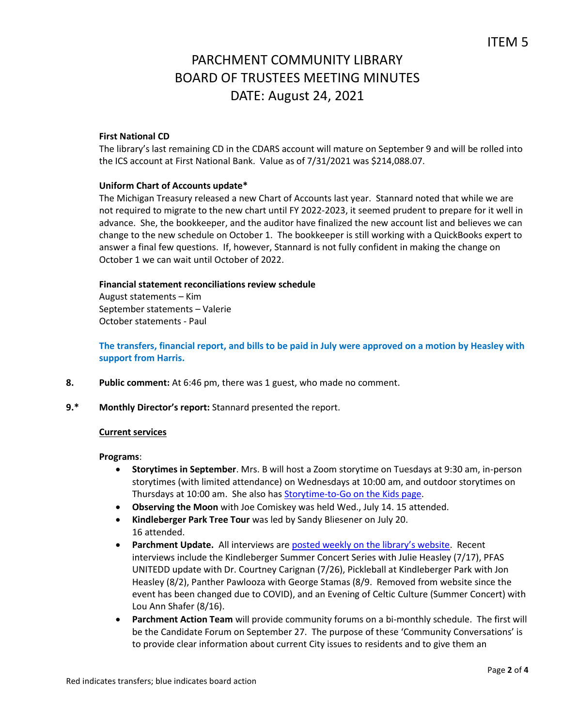#### **First National CD**

The library's last remaining CD in the CDARS account will mature on September 9 and will be rolled into the ICS account at First National Bank. Value as of 7/31/2021 was \$214,088.07.

#### **Uniform Chart of Accounts update\***

The Michigan Treasury released a new Chart of Accounts last year. Stannard noted that while we are not required to migrate to the new chart until FY 2022-2023, it seemed prudent to prepare for it well in advance. She, the bookkeeper, and the auditor have finalized the new account list and believes we can change to the new schedule on October 1. The bookkeeper is still working with a QuickBooks expert to answer a final few questions. If, however, Stannard is not fully confident in making the change on October 1 we can wait until October of 2022.

#### **Financial statement reconciliations review schedule**

August statements – Kim September statements – Valerie October statements - Paul

**The transfers, financial report, and bills to be paid in July were approved on a motion by Heasley with support from Harris.**

- **8. Public comment:** At 6:46 pm, there was 1 guest, who made no comment.
- **9.\* Monthly Director's report:** Stannard presented the report.

#### **Current services**

#### **Programs**:

- **Storytimes in September**. Mrs. B will host a Zoom storytime on Tuesdays at 9:30 am, in-person storytimes (with limited attendance) on Wednesdays at 10:00 am, and outdoor storytimes on Thursdays at 10:00 am. She also has **Storytime-to-Go on the Kids page**.
- **Observing the Moon** with Joe Comiskey was held Wed., July 14. 15 attended.
- **Kindleberger Park Tree Tour** was led by Sandy Bliesener on July 20. 16 attended.
- **Parchment Update.** All interviews are [posted weekly on the library's website](https://www.parchmentlibrary.org/parchment-update). Recent interviews include the Kindleberger Summer Concert Series with Julie Heasley (7/17), PFAS UNITEDD update with Dr. Courtney Carignan (7/26), Pickleball at Kindleberger Park with Jon Heasley (8/2), Panther Pawlooza with George Stamas (8/9. Removed from website since the event has been changed due to COVID), and an Evening of Celtic Culture (Summer Concert) with Lou Ann Shafer (8/16).
- **Parchment Action Team** will provide community forums on a bi-monthly schedule. The first will be the Candidate Forum on September 27. The purpose of these 'Community Conversations' is to provide clear information about current City issues to residents and to give them an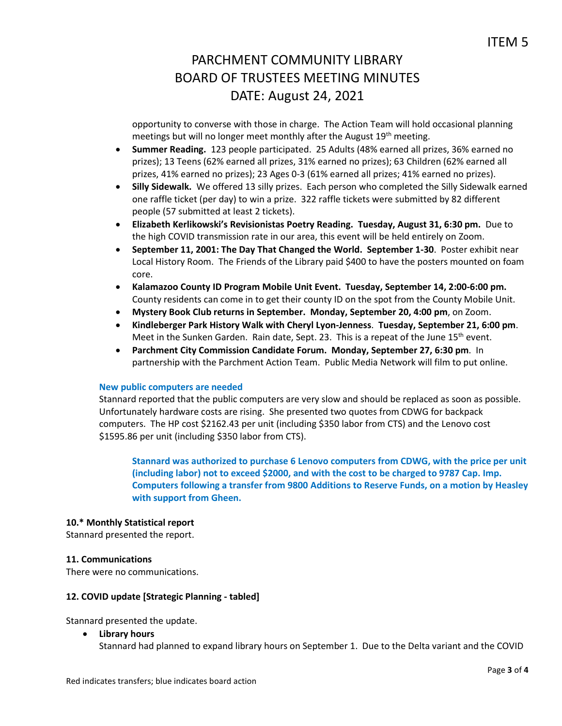opportunity to converse with those in charge. The Action Team will hold occasional planning meetings but will no longer meet monthly after the August 19<sup>th</sup> meeting.

- **Summer Reading.** 123 people participated. 25 Adults (48% earned all prizes, 36% earned no prizes); 13 Teens (62% earned all prizes, 31% earned no prizes); 63 Children (62% earned all prizes, 41% earned no prizes); 23 Ages 0-3 (61% earned all prizes; 41% earned no prizes).
- **Silly Sidewalk.** We offered 13 silly prizes. Each person who completed the Silly Sidewalk earned one raffle ticket (per day) to win a prize. 322 raffle tickets were submitted by 82 different people (57 submitted at least 2 tickets).
- **Elizabeth Kerlikowski's Revisionistas Poetry Reading. Tuesday, August 31, 6:30 pm.** Due to the high COVID transmission rate in our area, this event will be held entirely on Zoom.
- **September 11, 2001: The Day That Changed the World. September 1-30**. Poster exhibit near Local History Room. The Friends of the Library paid \$400 to have the posters mounted on foam core.
- **Kalamazoo County ID Program Mobile Unit Event. Tuesday, September 14, 2:00-6:00 pm.**  County residents can come in to get their county ID on the spot from the County Mobile Unit.
- **Mystery Book Club returns in September. Monday, September 20, 4:00 pm**, on Zoom.
- **Kindleberger Park History Walk with Cheryl Lyon-Jenness**. **Tuesday, September 21, 6:00 pm**. Meet in the Sunken Garden. Rain date, Sept. 23. This is a repeat of the June 15<sup>th</sup> event.
- **Parchment City Commission Candidate Forum. Monday, September 27, 6:30 pm**. In partnership with the Parchment Action Team. Public Media Network will film to put online.

## **New public computers are needed**

Stannard reported that the public computers are very slow and should be replaced as soon as possible. Unfortunately hardware costs are rising. She presented two quotes from CDWG for backpack computers. The HP cost \$2162.43 per unit (including \$350 labor from CTS) and the Lenovo cost \$1595.86 per unit (including \$350 labor from CTS).

**Stannard was authorized to purchase 6 Lenovo computers from CDWG, with the price per unit (including labor) not to exceed \$2000, and with the cost to be charged to 9787 Cap. Imp. Computers following a transfer from 9800 Additions to Reserve Funds, on a motion by Heasley with support from Gheen.**

## **10.\* Monthly Statistical report**

Stannard presented the report.

## **11. Communications**

There were no communications.

## **12. COVID update [Strategic Planning - tabled]**

Stannard presented the update.

 **Library hours** Stannard had planned to expand library hours on September 1. Due to the Delta variant and the COVID